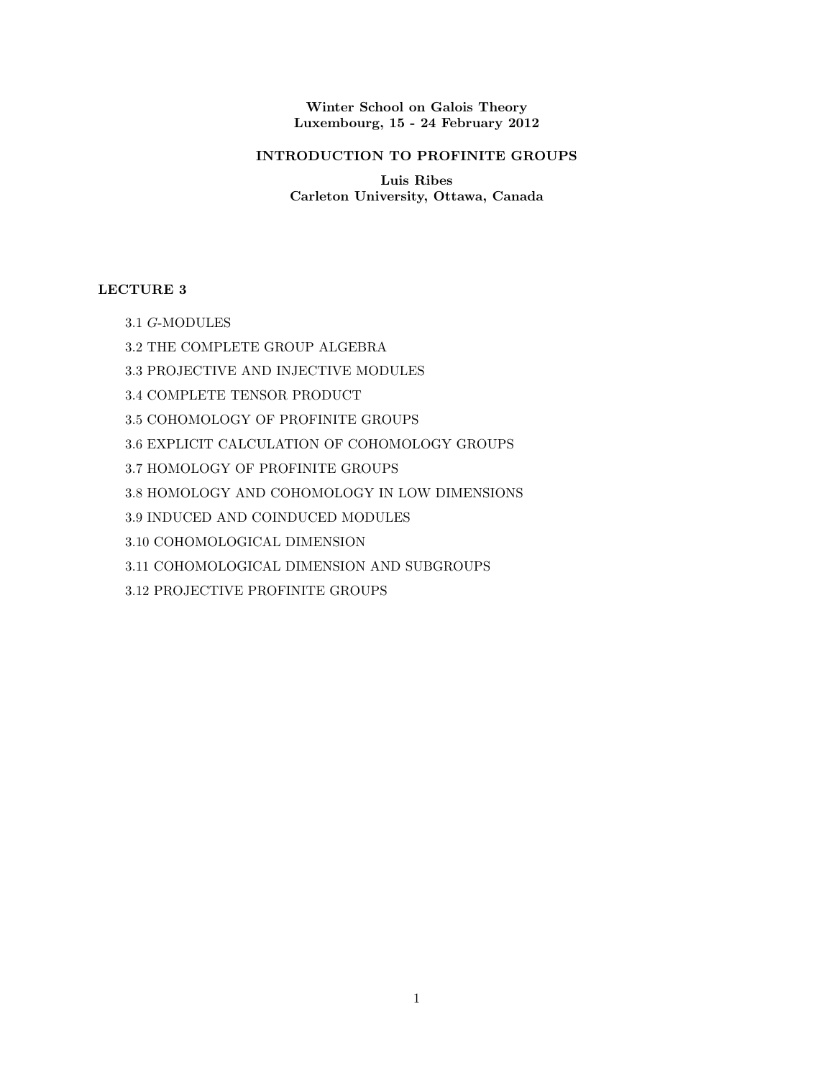Winter School on Galois Theory Luxembourg, 15 - 24 February 2012

# INTRODUCTION TO PROFINITE GROUPS

Luis Ribes Carleton University, Ottawa, Canada

# LECTURE 3

- 3.1 G-MODULES
- 3.2 THE COMPLETE GROUP ALGEBRA
- 3.3 PROJECTIVE AND INJECTIVE MODULES
- 3.4 COMPLETE TENSOR PRODUCT
- 3.5 COHOMOLOGY OF PROFINITE GROUPS
- 3.6 EXPLICIT CALCULATION OF COHOMOLOGY GROUPS
- 3.7 HOMOLOGY OF PROFINITE GROUPS
- 3.8 HOMOLOGY AND COHOMOLOGY IN LOW DIMENSIONS
- 3.9 INDUCED AND COINDUCED MODULES
- 3.10 COHOMOLOGICAL DIMENSION
- 3.11 COHOMOLOGICAL DIMENSION AND SUBGROUPS
- 3.12 PROJECTIVE PROFINITE GROUPS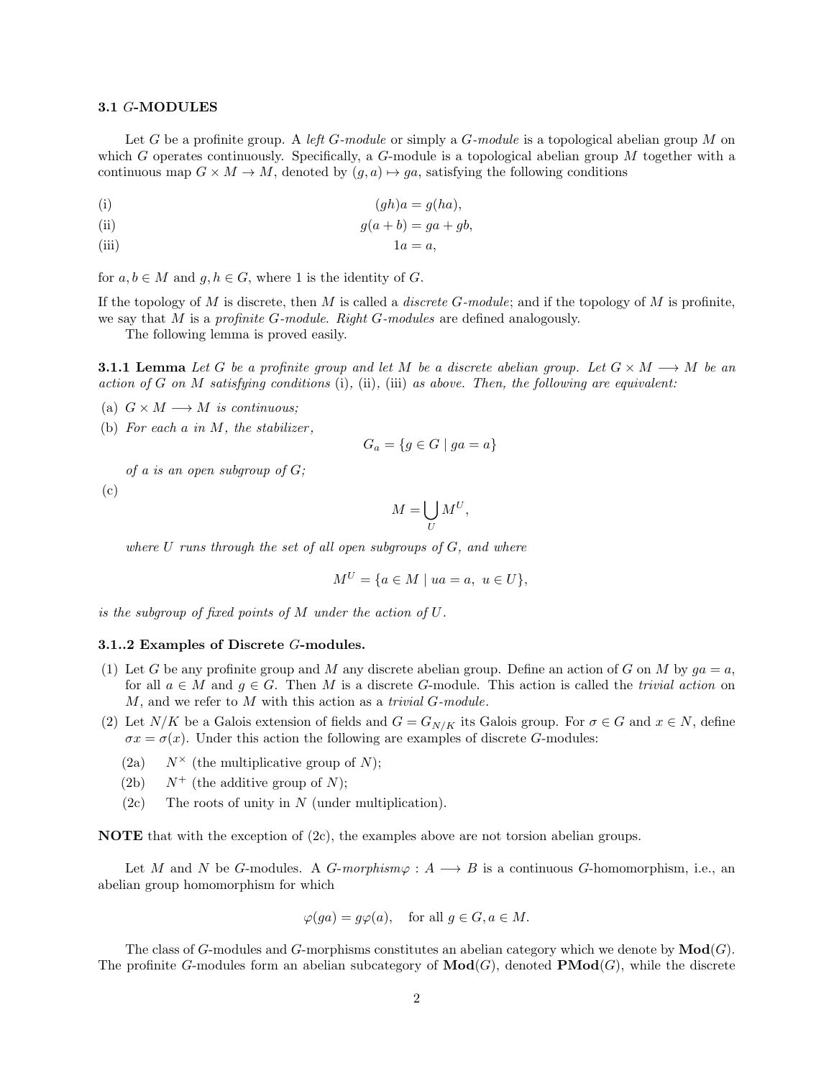### 3.1 G-MODULES

Let G be a profinite group. A left G-module or simply a  $G$ -module is a topological abelian group M on which G operates continuously. Specifically, a G-module is a topological abelian group  $M$  together with a continuous map  $G \times M \to M$ , denoted by  $(g, a) \mapsto ga$ , satisfying the following conditions

(i) (gh)a = g(ha),

(ii) 
$$
g(a+b) = ga + gb,
$$

(iii) 
$$
1a = a,
$$

for  $a, b \in M$  and  $g, h \in G$ , where 1 is the identity of G.

If the topology of M is discrete, then M is called a *discrete G-module*; and if the topology of M is profinite, we say that  $M$  is a profinite  $G$ -module. Right  $G$ -modules are defined analogously.

The following lemma is proved easily.

**3.1.1 Lemma** Let G be a profinite group and let M be a discrete abelian group. Let  $G \times M \longrightarrow M$  be an action of G on M satisfying conditions (i), (ii), (iii) as above. Then, the following are equivalent:

(a)  $G \times M \longrightarrow M$  is continuous;

(b) For each  $a$  in  $M$ , the stabilizer,

$$
G_a = \{ g \in G \mid ga = a \}
$$

of a is an open subgroup of  $G$ ;

(c)

$$
M = \bigcup_{U} M^{U},
$$

where  $U$  runs through the set of all open subgroups of  $G$ , and where

$$
M^U = \{ a \in M \mid ua = a, u \in U \},
$$

is the subgroup of fixed points of M under the action of U.

#### 3.1..2 Examples of Discrete G-modules.

- (1) Let G be any profinite group and M any discrete abelian group. Define an action of G on M by  $ga = a$ , for all  $a \in M$  and  $g \in G$ . Then M is a discrete G-module. This action is called the *trivial action* on  $M$ , and we refer to  $M$  with this action as a *trivial G-module*.
- (2) Let  $N/K$  be a Galois extension of fields and  $G = G_{N/K}$  its Galois group. For  $\sigma \in G$  and  $x \in N$ , define  $\sigma x = \sigma(x)$ . Under this action the following are examples of discrete G-modules:
	- (2a)  $N^{\times}$  (the multiplicative group of N);
	- (2b)  $N^+$  (the additive group of N);
	- $(2c)$  The roots of unity in N (under multiplication).

NOTE that with the exception of (2c), the examples above are not torsion abelian groups.

Let M and N be G-modules. A G-morphism $\varphi: A \longrightarrow B$  is a continuous G-homomorphism, i.e., an abelian group homomorphism for which

$$
\varphi(ga) = g\varphi(a), \quad \text{for all } g \in G, a \in M.
$$

The class of G-modules and G-morphisms constitutes an abelian category which we denote by  $\text{Mod}(G)$ . The profinite G-modules form an abelian subcategory of  $\mathbf{Mod}(G)$ , denoted  $\mathbf{PMod}(G)$ , while the discrete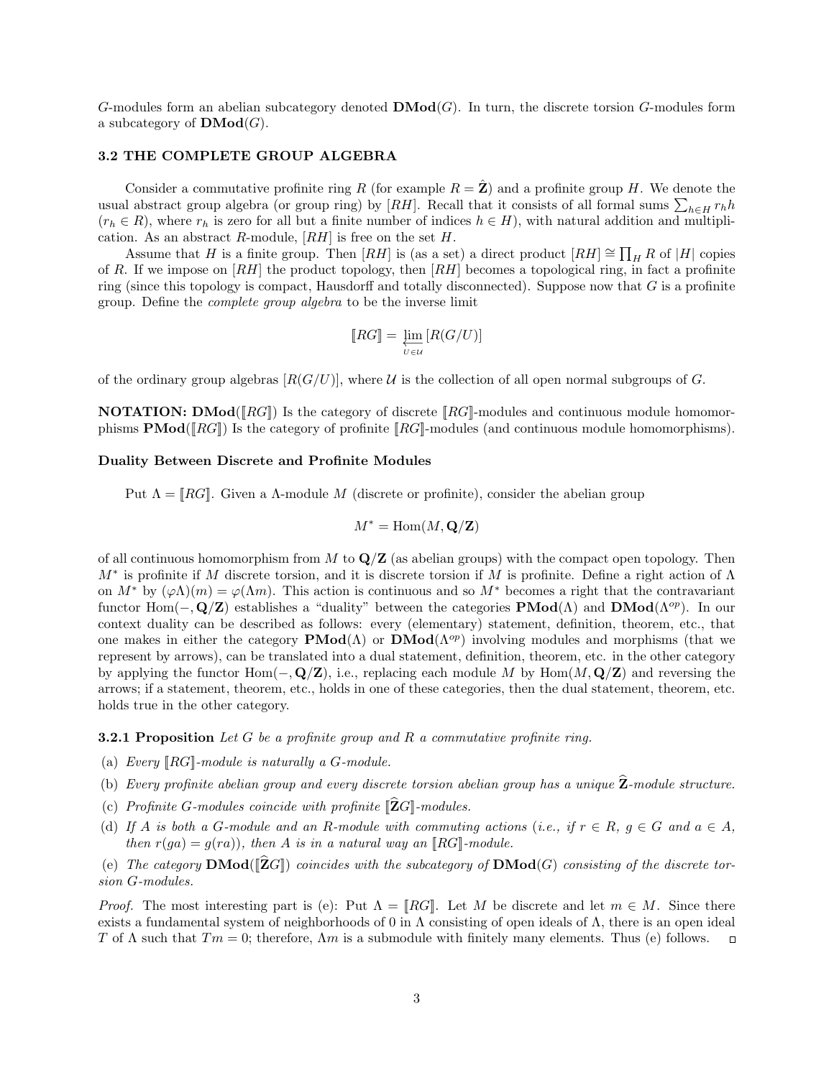G-modules form an abelian subcategory denoted  $\mathbf{DMod}(G)$ . In turn, the discrete torsion G-modules form a subcategory of  $\mathbf{DMod}(G)$ .

## 3.2 THE COMPLETE GROUP ALGEBRA

Consider a commutative profinite ring R (for example  $R = \hat{Z}$ ) and a profinite group H. We denote the usual abstract group algebra (or group ring) by [RH]. Recall that it consists of all formal sums  $\sum_{h\in H} r_h h$  $(r_h \in R)$ , where  $r_h$  is zero for all but a finite number of indices  $h \in H$ ), with natural addition and multiplication. As an abstract  $R$ -module,  $[RH]$  is free on the set  $H$ .

Assume that H is a finite group. Then  $[RH]$  is (as a set) a direct product  $[RH] \cong \prod_H R$  of  $|H|$  copies of R. If we impose on  $[RH]$  the product topology, then  $[RH]$  becomes a topological ring, in fact a profinite ring (since this topology is compact, Hausdorff and totally disconnected). Suppose now that  $G$  is a profinite group. Define the complete group algebra to be the inverse limit

$$
[\![RG]\!]=\varprojlim_{U\in\mathcal{U}}\left[R(G/U)\right]
$$

of the ordinary group algebras  $[R(G/U)]$ , where U is the collection of all open normal subgroups of G.

**NOTATION:** DMod( $\llbracket RG \rrbracket$ ) Is the category of discrete  $\llbracket RG \rrbracket$ -modules and continuous module homomorphisms  $\text{PMod}([RG])$  Is the category of profinite  $[RG]$ -modules (and continuous module homomorphisms).

### Duality Between Discrete and Profinite Modules

Put  $\Lambda = [RG]$ . Given a  $\Lambda$ -module M (discrete or profinite), consider the abelian group

$$
M^* = \text{Hom}(M, \mathbf{Q}/\mathbf{Z})
$$

of all continuous homomorphism from  $M$  to  $\mathbf{Q}/\mathbf{Z}$  (as abelian groups) with the compact open topology. Then M<sup>∗</sup> is profinite if M discrete torsion, and it is discrete torsion if M is profinite. Define a right action of Λ on  $M^*$  by  $(\varphi \Lambda)(m) = \varphi(\Lambda m)$ . This action is continuous and so  $M^*$  becomes a right that the contravariant functor Hom( $-\mathbf{Q}/\mathbf{Z}$ ) establishes a "duality" between the categories **PMod**( $\Lambda$ ) and **DMod**( $\Lambda^{op}$ ). In our context duality can be described as follows: every (elementary) statement, definition, theorem, etc., that one makes in either the category  $\mathbf{PMod}(\Lambda)$  or  $\mathbf{DMod}(\Lambda^{op})$  involving modules and morphisms (that we represent by arrows), can be translated into a dual statement, definition, theorem, etc. in the other category by applying the functor Hom( $-\mathbf{Q}/\mathbf{Z}$ ), i.e., replacing each module M by Hom( $M$ ,  $\mathbf{Q}/\mathbf{Z}$ ) and reversing the arrows; if a statement, theorem, etc., holds in one of these categories, then the dual statement, theorem, etc. holds true in the other category.

**3.2.1 Proposition** Let G be a profinite group and R a commutative profinite ring.

- (a) Every  $\llbracket RG \rrbracket$ -module is naturally a G-module.
- (b) Every profinite abelian group and every discrete torsion abelian group has a unique  $\mathbf{Z}$ -module structure.
- (c) Profinite G-modules coincide with profinite  $\|\widehat{\mathbf{Z}}G\|$ -modules.
- (d) If A is both a G-module and an R-module with commuting actions (i.e., if  $r \in R$ ,  $g \in G$  and  $a \in A$ , then  $r(ga) = g(ra)$ , then A is in a natural way an [RG]-module.
- (e) The category  $\text{DMod}(\hat{Z}G)$  coincides with the subcategory of  $\text{DMod}(G)$  consisting of the discrete torsion G-modules.

*Proof.* The most interesting part is (e): Put  $\Lambda = [RG]$ . Let M be discrete and let  $m \in M$ . Since there exists a fundamental system of neighborhoods of 0 in  $\Lambda$  consisting of open ideals of  $\Lambda$ , there is an open ideal T of  $\Lambda$  such that  $Tm = 0$ ; therefore,  $\Lambda m$  is a submodule with finitely many elements. Thus (e) follows.  $\Box$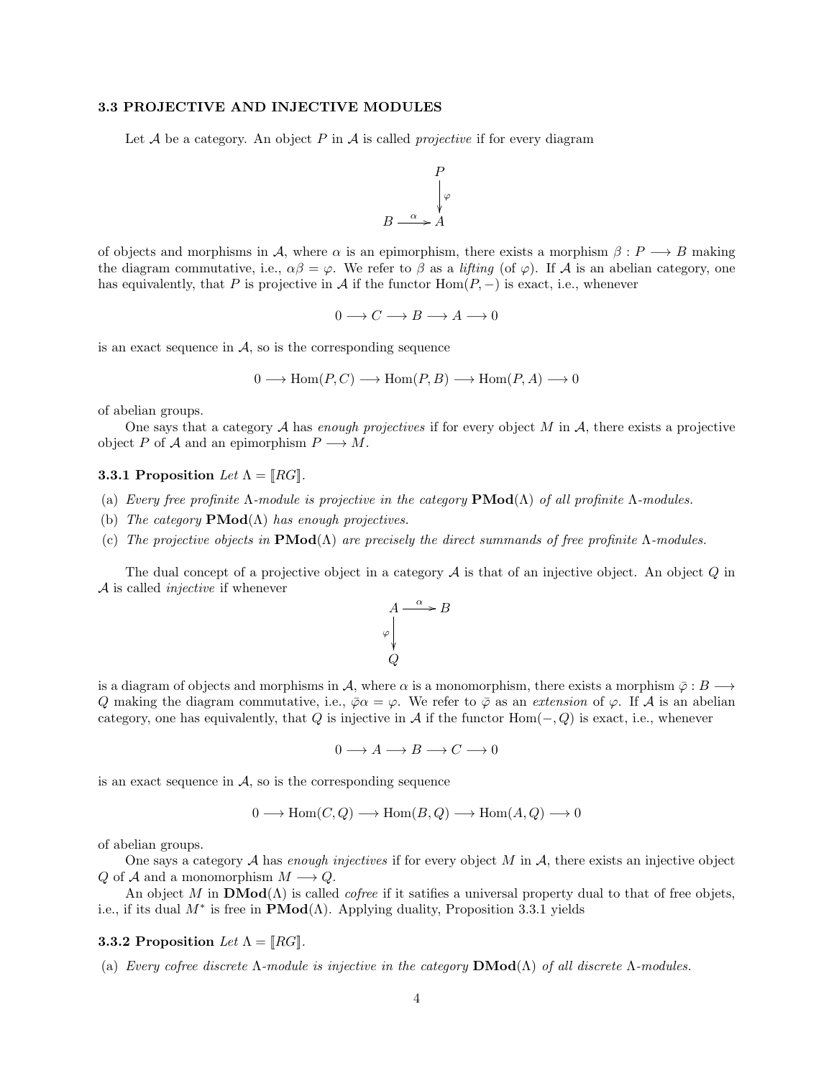### 3.3 PROJECTIVE AND INJECTIVE MODULES

Let A be a category. An object P in A is called *projective* if for every diagram

$$
P
$$
  
\n
$$
\downarrow \varphi
$$
  
\n
$$
B \xrightarrow{\alpha} A
$$

of objects and morphisms in A, where  $\alpha$  is an epimorphism, there exists a morphism  $\beta: P \longrightarrow B$  making the diagram commutative, i.e.,  $\alpha\beta = \varphi$ . We refer to  $\beta$  as a *lifting* (of  $\varphi$ ). If A is an abelian category, one has equivalently, that P is projective in A if the functor  $Hom(P, -)$  is exact, i.e., whenever

$$
0 \longrightarrow C \longrightarrow B \longrightarrow A \longrightarrow 0
$$

is an exact sequence in  $\mathcal{A}$ , so is the corresponding sequence

$$
0 \longrightarrow \text{Hom}(P, C) \longrightarrow \text{Hom}(P, B) \longrightarrow \text{Hom}(P, A) \longrightarrow 0
$$

of abelian groups.

One says that a category  $A$  has enough projectives if for every object  $M$  in  $A$ , there exists a projective object P of A and an epimorphism  $P \longrightarrow M$ .

### 3.3.1 Proposition Let  $\Lambda = [RG]$ .

- (a) Every free profinite  $\Lambda$ -module is projective in the category  $\mathbf{PMod}(\Lambda)$  of all profinite  $\Lambda$ -modules.
- (b) The category  $\mathbf{PMod}(\Lambda)$  has enough projectives.
- (c) The projective objects in  $\text{PMod}(\Lambda)$  are precisely the direct summands of free profinite  $\Lambda$ -modules.

The dual concept of a projective object in a category  $A$  is that of an injective object. An object  $Q$  in  $\mathcal A$  is called *injective* if whenever

$$
A \xrightarrow{\alpha} B
$$
  
\n
$$
\downarrow^{\varphi}
$$
  
\nQ

is a diagram of objects and morphisms in A, where  $\alpha$  is a monomorphism, there exists a morphism  $\bar{\varphi}: B \longrightarrow$ Q making the diagram commutative, i.e.,  $\bar{\varphi}\alpha = \varphi$ . We refer to  $\bar{\varphi}$  as an extension of  $\varphi$ . If A is an abelian category, one has equivalently, that Q is injective in A if the functor  $Hom(-, Q)$  is exact, i.e., whenever

 $0 \longrightarrow A \longrightarrow B \longrightarrow C \longrightarrow 0$ 

is an exact sequence in  $A$ , so is the corresponding sequence

$$
0 \longrightarrow \text{Hom}(C, Q) \longrightarrow \text{Hom}(B, Q) \longrightarrow \text{Hom}(A, Q) \longrightarrow 0
$$

of abelian groups.

One says a category  $A$  has enough injectives if for every object  $M$  in  $A$ , there exists an injective object Q of A and a monomorphism  $M \longrightarrow Q$ .

An object M in  $\mathbf{DMod}(\Lambda)$  is called *cofree* if it satifies a universal property dual to that of free objets, i.e., if its dual  $M^*$  is free in  $\mathbf{PMod}(\Lambda)$ . Applying duality, Proposition 3.3.1 yields

**3.3.2 Proposition** Let  $\Lambda = [RG]$ .

(a) Every cofree discrete Λ-module is injective in the category  $\mathbf{DMod}(\Lambda)$  of all discrete Λ-modules.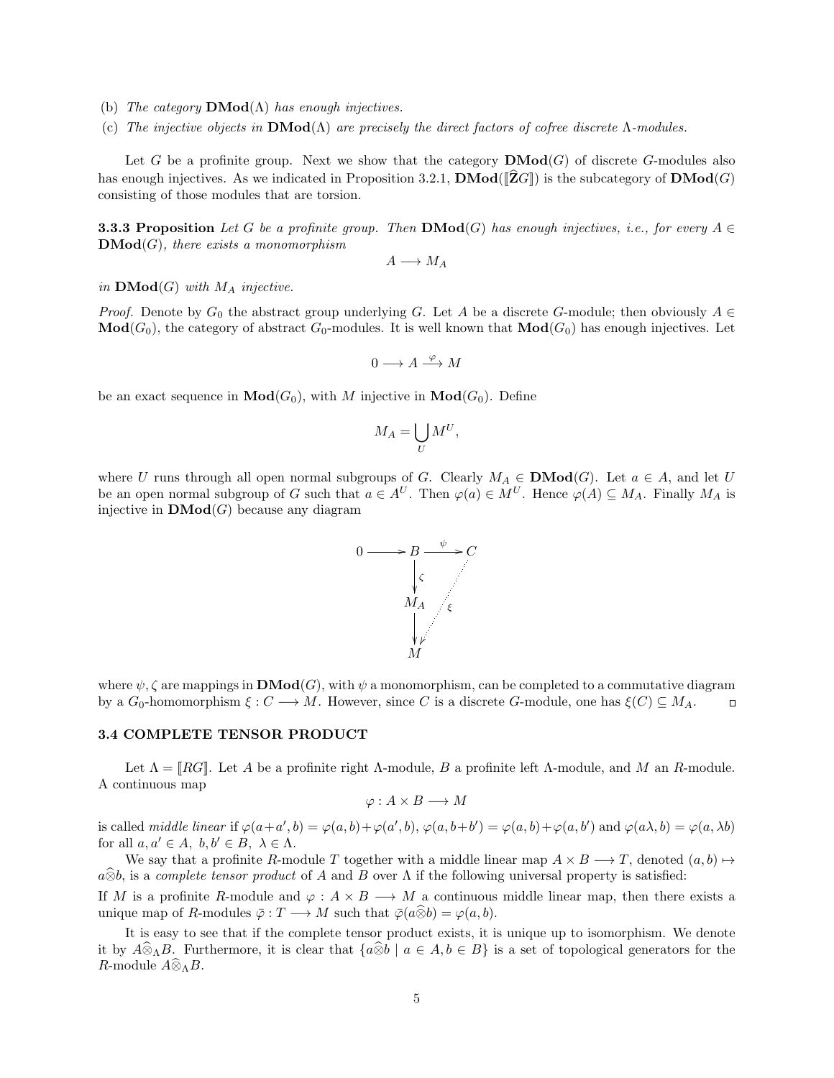- (b) The category  $\mathbf{DMod}(\Lambda)$  has enough injectives.
- (c) The injective objects in  $\mathbf{DMod}(\Lambda)$  are precisely the direct factors of cofree discrete  $\Lambda$ -modules.

Let G be a profinite group. Next we show that the category  $\mathbf{DMod}(G)$  of discrete G-modules also has enough injectives. As we indicated in Proposition 3.2.1,  $\mathbf{DMod}([\widehat{\mathbf{Z}}G])$  is the subcategory of  $\mathbf{DMod}(G)$ consisting of those modules that are torsion.

**3.3.3 Proposition** Let G be a profinite group. Then  $\mathbf{DMod}(G)$  has enough injectives, i.e., for every  $A \in$  $\mathbf{DMod}(G)$ , there exists a monomorphism

 $A \longrightarrow M_A$ 

in  $\mathbf{DMod}(G)$  with  $M_A$  injective.

*Proof.* Denote by  $G_0$  the abstract group underlying G. Let A be a discrete G-module; then obviously  $A \in$  $\textbf{Mod}(G_0)$ , the category of abstract  $G_0$ -modules. It is well known that  $\textbf{Mod}(G_0)$  has enough injectives. Let

$$
0\longrightarrow A\stackrel{\varphi}{\longrightarrow} M
$$

be an exact sequence in  $\mathbf{Mod}(G_0)$ , with M injective in  $\mathbf{Mod}(G_0)$ . Define

$$
M_A = \bigcup_U M^U,
$$

where U runs through all open normal subgroups of G. Clearly  $M_A \in \mathbf{DMod}(G)$ . Let  $a \in A$ , and let U be an open normal subgroup of G such that  $a \in A^U$ . Then  $\varphi(a) \in M^U$ . Hence  $\varphi(A) \subseteq M_A$ . Finally  $M_A$  is injective in  $\mathbf{DMod}(G)$  because any diagram



where  $\psi, \zeta$  are mappings in  $\mathbf{DMod}(G)$ , with  $\psi$  a monomorphism, can be completed to a commutative diagram by a  $G_0$ -homomorphism  $\xi: C \longrightarrow M$ . However, since C is a discrete G-module, one has  $\xi(C) \subseteq M_A$ .  $\Box$ 

#### 3.4 COMPLETE TENSOR PRODUCT

Let  $\Lambda = |RG|$ . Let A be a profinite right  $\Lambda$ -module, B a profinite left  $\Lambda$ -module, and M an R-module. A continuous map

$$
\varphi: A \times B \longrightarrow M
$$

is called *middle linear* if  $\varphi(a+a',b) = \varphi(a,b) + \varphi(a',b)$ ,  $\varphi(a,b+b') = \varphi(a,b) + \varphi(a,b')$  and  $\varphi(a\lambda,b) = \varphi(a,\lambda b)$ for all  $a, a' \in A$ ,  $b, b' \in B$ ,  $\lambda \in \Lambda$ .

We say that a profinite R-module T together with a middle linear map  $A \times B \longrightarrow T$ , denoted  $(a, b) \mapsto$  $a\hat{\otimes} b$ , is a complete tensor product of A and B over  $\Lambda$  if the following universal property is satisfied:

If M is a profinite R-module and  $\varphi : A \times B \longrightarrow M$  a continuous middle linear map, then there exists a unique map of R-modules  $\overline{\varphi}: T \longrightarrow M$  such that  $\overline{\varphi}(a\widehat{\otimes} b) = \varphi(a, b)$ .

It is easy to see that if the complete tensor product exists, it is unique up to isomorphism. We denote it by  $A\widehat{\otimes}_{\Lambda}B$ . Furthermore, it is clear that  $\{a\widehat{\otimes}b \mid a \in A, b \in B\}$  is a set of topological generators for the R-module  $A\widehat{\otimes}_{\Lambda}B$ .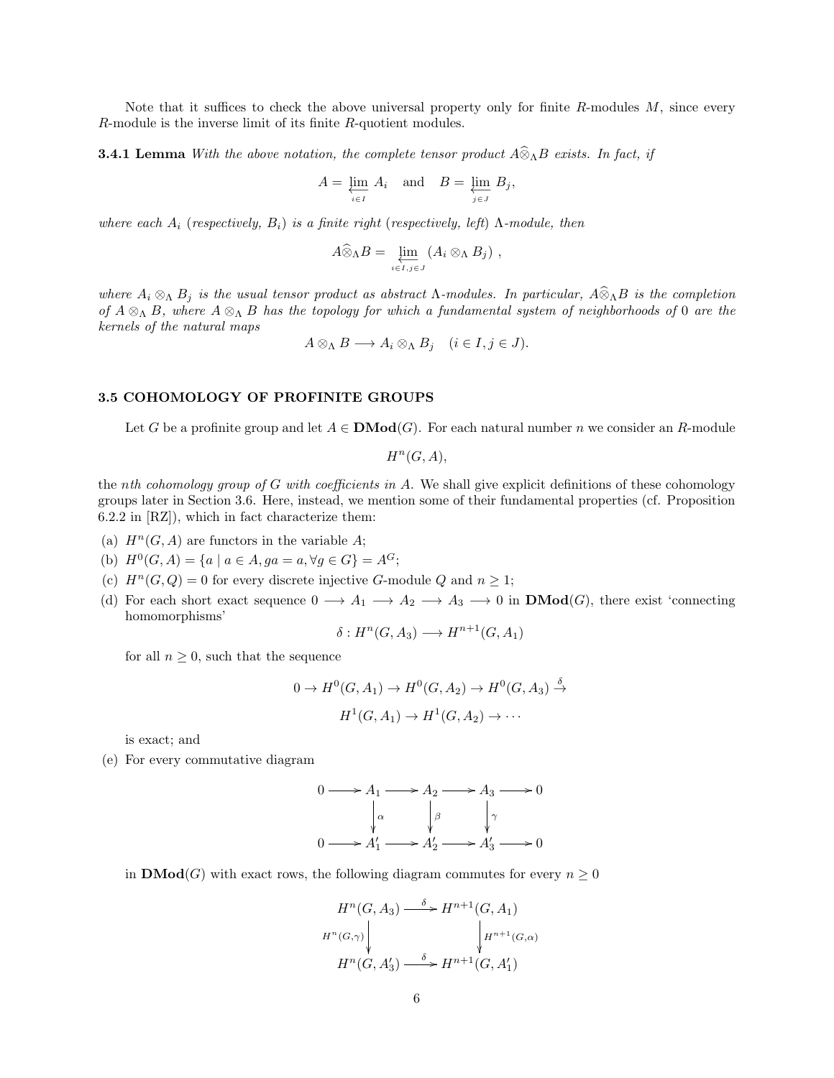Note that it suffices to check the above universal property only for finite  $R$ -modules  $M$ , since every R-module is the inverse limit of its finite R-quotient modules.

**3.4.1 Lemma** With the above notation, the complete tensor product  $A\widehat{\otimes}_{\Lambda}B$  exists. In fact, if

$$
A = \varprojlim_{i \in I} A_i \quad \text{and} \quad B = \varprojlim_{j \in J} B_j,
$$

where each  $A_i$  (respectively,  $B_i$ ) is a finite right (respectively, left)  $\Lambda$ -module, then

$$
A\widehat{\otimes}_{\Lambda}B = \varprojlim_{i \in I, j \in J} (A_i \otimes_{\Lambda} B_j) ,
$$

where  $A_i \otimes_{\Lambda} B_j$  is the usual tensor product as abstract  $\Lambda$ -modules. In particular,  $A \widehat{\otimes}_{\Lambda} B$  is the completion of  $A \otimes_{\Lambda} B$ , where  $A \otimes_{\Lambda} B$  has the topology for which a fundamental system of neighborhoods of 0 are the kernels of the natural maps

$$
A \otimes_{\Lambda} B \longrightarrow A_i \otimes_{\Lambda} B_j \quad (i \in I, j \in J).
$$

#### 3.5 COHOMOLOGY OF PROFINITE GROUPS

Let G be a profinite group and let  $A \in \mathbf{DMod}(G)$ . For each natural number n we consider an R-module

 $H^n(G, A),$ 

the nth cohomology group of G with coefficients in  $A$ . We shall give explicit definitions of these cohomology groups later in Section 3.6. Here, instead, we mention some of their fundamental properties (cf. Proposition 6.2.2 in [RZ]), which in fact characterize them:

- (a)  $H^n(G, A)$  are functors in the variable A;
- (b)  $H^0(G, A) = \{a \mid a \in A, ga = a, \forall g \in G\} = A^G;$
- (c)  $H<sup>n</sup>(G, Q) = 0$  for every discrete injective G-module Q and  $n \ge 1$ ;
- (d) For each short exact sequence  $0 \longrightarrow A_1 \longrightarrow A_2 \longrightarrow A_3 \longrightarrow 0$  in  $\mathbf{DMod}(G)$ , there exist 'connecting homomorphisms'

$$
\delta: H^n(G, A_3) \longrightarrow H^{n+1}(G, A_1)
$$

for all  $n \geq 0$ , such that the sequence

$$
0 \to H^0(G, A_1) \to H^0(G, A_2) \to H^0(G, A_3) \xrightarrow{\delta}
$$

$$
H^1(G, A_1) \to H^1(G, A_2) \to \cdots
$$

is exact; and

(e) For every commutative diagram

$$
0 \longrightarrow A_1 \longrightarrow A_2 \longrightarrow A_3 \longrightarrow 0
$$
  
\n
$$
\downarrow \alpha \qquad \qquad \downarrow \beta \qquad \qquad \downarrow \gamma
$$
  
\n
$$
0 \longrightarrow A'_1 \longrightarrow A'_2 \longrightarrow A'_3 \longrightarrow 0
$$

in **DMod**(G) with exact rows, the following diagram commutes for every  $n \geq 0$ 

$$
H^n(G, A_3) \xrightarrow{\delta} H^{n+1}(G, A_1)
$$
  
\n
$$
H^n(G, \gamma) \downarrow \qquad \qquad \downarrow H^{n+1}(G, \alpha)
$$
  
\n
$$
H^n(G, A'_3) \xrightarrow{\delta} H^{n+1}(G, A'_1)
$$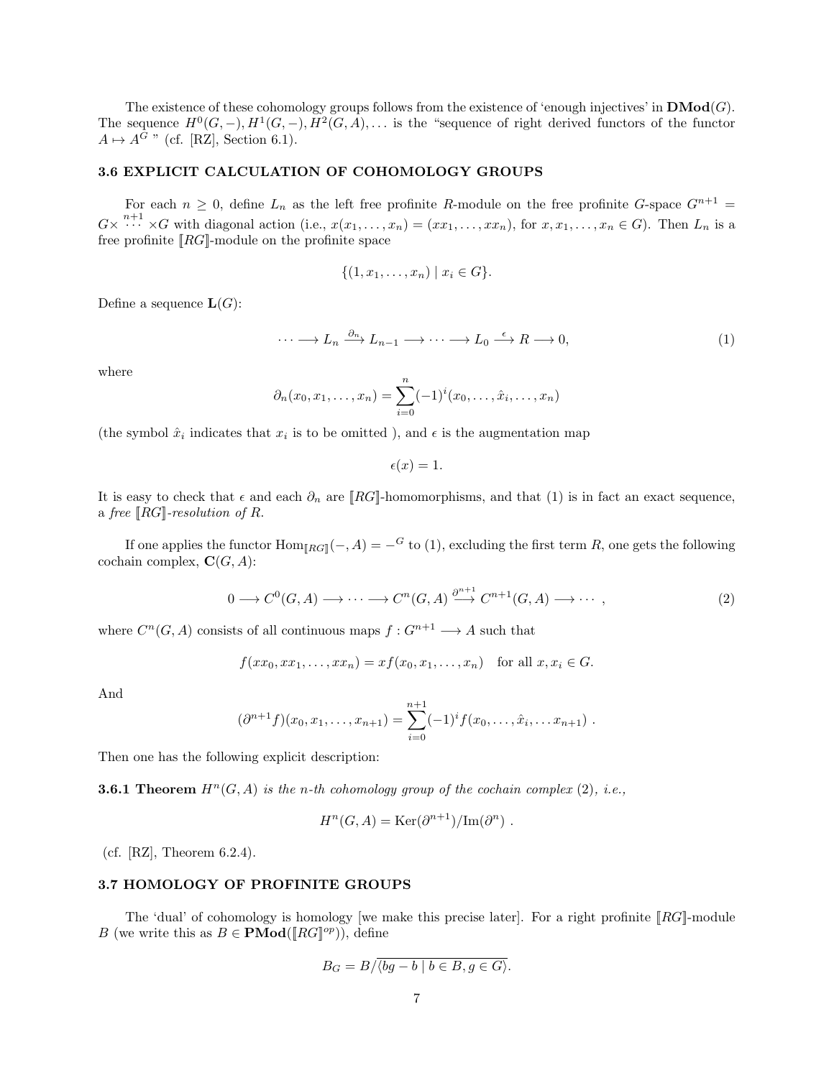The existence of these cohomology groups follows from the existence of 'enough injectives' in  $\mathbf{DMod}(G)$ . The sequence  $H^0(G, -), H^1(G, -), H^2(G, A), \ldots$  is the "sequence of right derived functors of the functor  $A \mapsto A^G$  " (cf. [RZ], Section 6.1).

## 3.6 EXPLICIT CALCULATION OF COHOMOLOGY GROUPS

For each  $n \geq 0$ , define  $L_n$  as the left free profinite R-module on the free profinite G-space  $G^{n+1}$  =  $G\times \cdots^{n+1} \times G$  with diagonal action (i.e.,  $x(x_1,\ldots,x_n) = (xx_1,\ldots,xx_n)$ , for  $x, x_1,\ldots, x_n \in G$ ). Then  $L_n$  is a free profinite  $[RG]$ -module on the profinite space

$$
\{(1, x_1, \ldots, x_n) \mid x_i \in G\}.
$$

Define a sequence  $\mathbf{L}(G)$ :

$$
\cdots \longrightarrow L_n \xrightarrow{\partial_n} L_{n-1} \longrightarrow \cdots \longrightarrow L_0 \xrightarrow{\epsilon} R \longrightarrow 0,
$$
\n(1)

where

$$
\partial_n(x_0, x_1, \dots, x_n) = \sum_{i=0}^n (-1)^i (x_0, \dots, \hat{x}_i, \dots, x_n)
$$

(the symbol  $\hat{x}_i$  indicates that  $x_i$  is to be omitted), and  $\epsilon$  is the augmentation map

 $\epsilon(x) = 1.$ 

It is easy to check that  $\epsilon$  and each  $\partial_n$  are [RG]-homomorphisms, and that (1) is in fact an exact sequence, a free  $\|RG\|$ -resolution of R.

If one applies the functor  $\text{Hom}_{[RG]}(-, A) = -^G$  to (1), excluding the first term R, one gets the following cochain complex,  $\mathbf{C}(G, A)$ :

$$
0 \longrightarrow C^{0}(G,A) \longrightarrow \cdots \longrightarrow C^{n}(G,A) \stackrel{\partial^{n+1}}{\longrightarrow} C^{n+1}(G,A) \longrightarrow \cdots,
$$
\n(2)

where  $C^n(G, A)$  consists of all continuous maps  $f: G^{n+1} \longrightarrow A$  such that

$$
f(xx_0, xx_1, \ldots, xx_n) = xf(x_0, x_1, \ldots, x_n) \text{ for all } x, x_i \in G.
$$

And

$$
(\partial^{n+1} f)(x_0, x_1, \ldots, x_{n+1}) = \sum_{i=0}^{n+1} (-1)^i f(x_0, \ldots, \hat{x}_i, \ldots, x_{n+1}).
$$

Then one has the following explicit description:

**3.6.1 Theorem**  $H^n(G, A)$  is the n-th cohomology group of the cochain complex (2), i.e.,

$$
H^{n}(G, A) = \text{Ker}(\partial^{n+1})/\text{Im}(\partial^{n}).
$$

(cf.  $[RZ]$ , Theorem 6.2.4).

## 3.7 HOMOLOGY OF PROFINITE GROUPS

The 'dual' of cohomology is homology [we make this precise later]. For a right profinite  $\llbracket RG \rrbracket$ -module B (we write this as  $B \in \mathbf{PMod}(\llbracket RG \rrbracket^{op})$ ), define

$$
B_G = B/\overline{\langle bg - b \mid b \in B, g \in G \rangle}.
$$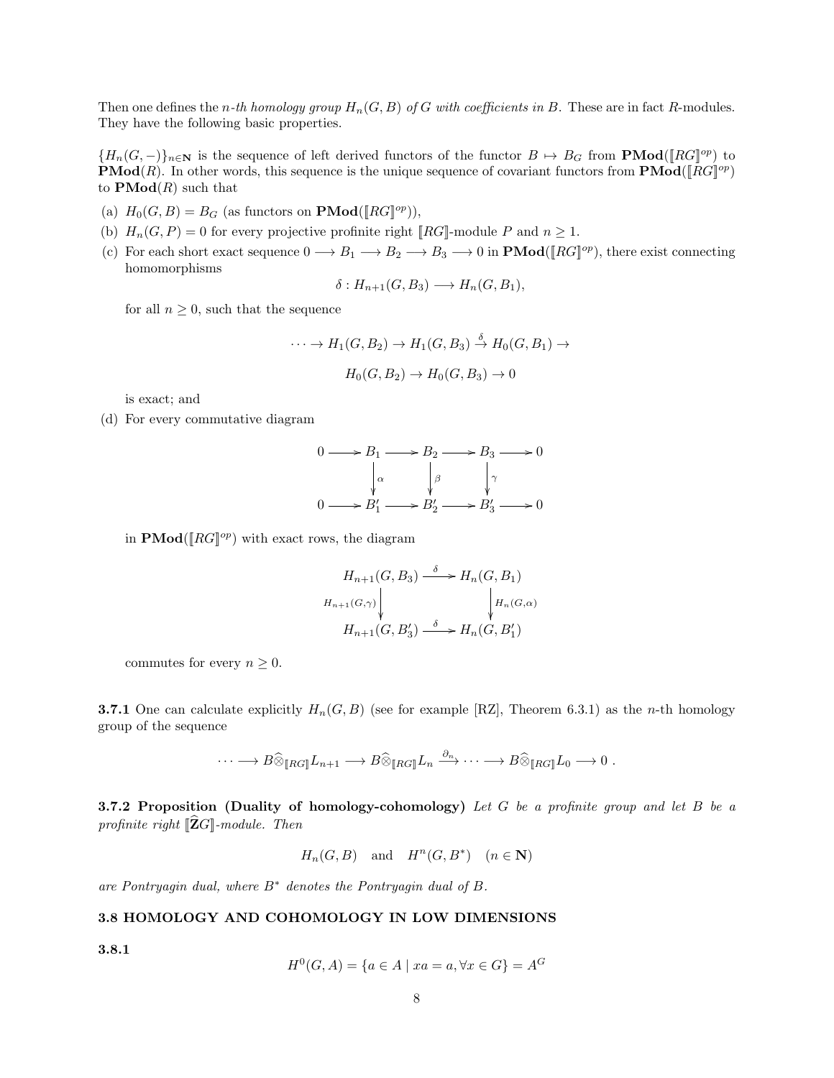Then one defines the n-th homology group  $H_n(G, B)$  of G with coefficients in B. These are in fact R-modules. They have the following basic properties.

 ${H_n(G, -)}_{n \in \mathbb{N}}$  is the sequence of left derived functors of the functor  $B \mapsto B_G$  from **PMod**( $[RG]^{op}$ ) to **PMod**(R). In other words, this sequence is the unique sequence of covariant functors from **PMod**( $\llbracket RG \rrbracket^{op}$ ) to  $\text{PMod}(R)$  such that

- (a)  $H_0(G, B) = B_G$  (as functors on  $\mathbf{PMod}([RG]^{op})$ ),
- (b)  $H_n(G, P) = 0$  for every projective profinite right [RG]-module P and  $n \geq 1$ .
- (c) For each short exact sequence  $0 \longrightarrow B_1 \longrightarrow B_2 \longrightarrow B_3 \longrightarrow 0$  in **PMod**( $[RG]^{op}$ ), there exist connecting homomorphisms

$$
\delta: H_{n+1}(G, B_3) \longrightarrow H_n(G, B_1),
$$

for all  $n \geq 0$ , such that the sequence

$$
\cdots \to H_1(G, B_2) \to H_1(G, B_3) \xrightarrow{\delta} H_0(G, B_1) \to
$$
  

$$
H_0(G, B_2) \to H_0(G, B_3) \to 0
$$

is exact; and

(d) For every commutative diagram

$$
0 \longrightarrow B_1 \longrightarrow B_2 \longrightarrow B_3 \longrightarrow 0
$$
  
\n
$$
\downarrow \alpha \qquad \qquad \downarrow \beta \qquad \qquad \downarrow \gamma
$$
  
\n
$$
0 \longrightarrow B'_1 \longrightarrow B'_2 \longrightarrow B'_3 \longrightarrow 0
$$

in  $\text{PMod}([RG]^{op})$  with exact rows, the diagram

$$
H_{n+1}(G, B_3) \xrightarrow{\delta} H_n(G, B_1)
$$
  
\n
$$
H_{n+1}(G, \gamma) \downarrow \qquad \qquad \downarrow H_n(G, \alpha)
$$
  
\n
$$
H_{n+1}(G, B'_3) \xrightarrow{\delta} H_n(G, B'_1)
$$

commutes for every  $n \geq 0$ .

**3.7.1** One can calculate explicitly  $H_n(G, B)$  (see for example [RZ], Theorem 6.3.1) as the *n*-th homology group of the sequence

$$
\cdots \longrightarrow B\widehat{\otimes}_{[RG]} L_{n+1} \longrightarrow B\widehat{\otimes}_{[RG]} L_n \xrightarrow{\partial_n} \cdots \longrightarrow B\widehat{\otimes}_{[RG]} L_0 \longrightarrow 0.
$$

**3.7.2 Proposition (Duality of homology-cohomology)** Let G be a profinite group and let B be a profinite right  $\llbracket \mathbf{\hat{Z}}G \rrbracket$ -module. Then

$$
H_n(G, B)
$$
 and  $H^n(G, B^*)$   $(n \in \mathbb{N})$ 

are Pontryagin dual, where  $B^*$  denotes the Pontryagin dual of  $B$ .

## 3.8 HOMOLOGY AND COHOMOLOGY IN LOW DIMENSIONS

3.8.1

$$
H^{0}(G, A) = \{ a \in A \mid xa = a, \forall x \in G \} = A^{G}
$$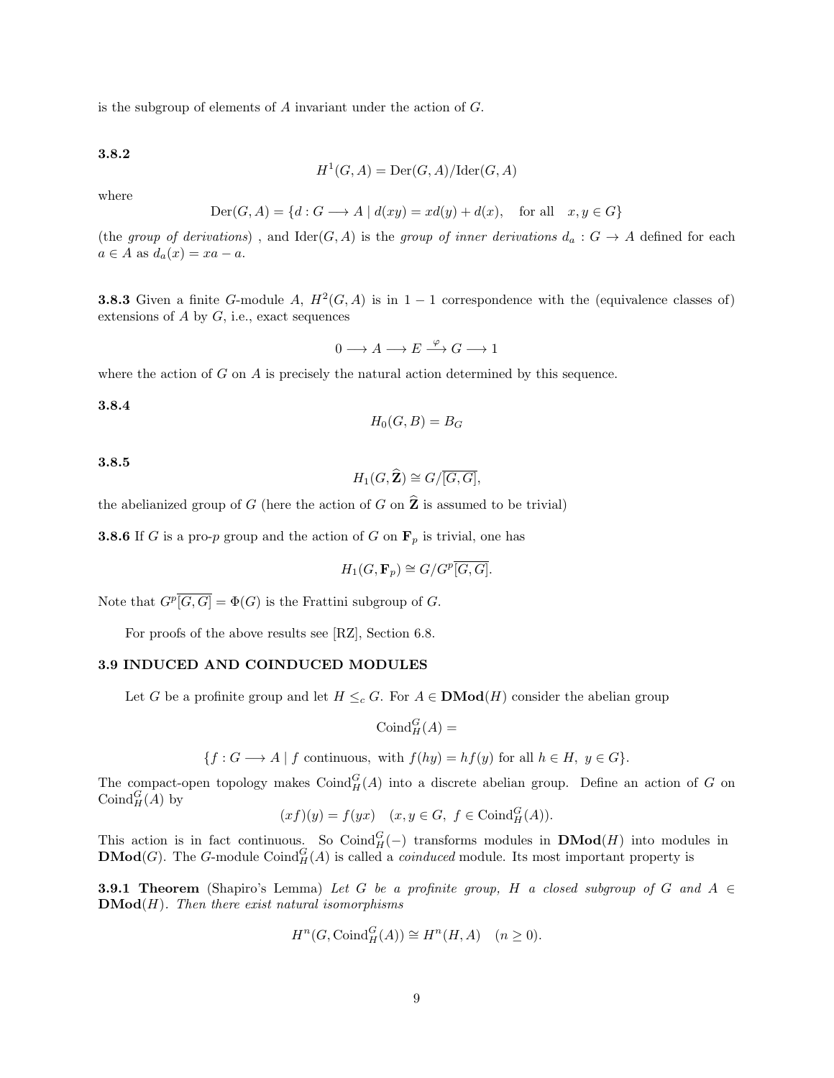is the subgroup of elements of A invariant under the action of G.

3.8.2

$$
H^1(G, A) = \text{Der}(G, A) / \text{Ider}(G, A)
$$

where

$$
Der(G, A) = \{d : G \longrightarrow A \mid d(xy) = xd(y) + d(x), \text{ for all } x, y \in G\}
$$

(the group of derivations), and  $\text{Ider}(G, A)$  is the group of inner derivations  $d_a: G \to A$  defined for each  $a \in A$  as  $d_a(x) = xa - a$ .

**3.8.3** Given a finite G-module A,  $H^2(G, A)$  is in  $1 - 1$  correspondence with the (equivalence classes of) extensions of  $A$  by  $G$ , i.e., exact sequences

$$
0 \longrightarrow A \longrightarrow E \xrightarrow{\varphi} G \longrightarrow 1
$$

where the action of  $G$  on  $A$  is precisely the natural action determined by this sequence.

## 3.8.4

$$
H_0(G, B) = B_G
$$

3.8.5

$$
H_1(G,\widehat{\mathbf{Z}})\cong G/\overline{[G,G]},
$$

the abelianized group of G (here the action of G on  $\hat{\mathbf{Z}}$  is assumed to be trivial)

**3.8.6** If G is a pro-p group and the action of G on  $\mathbf{F}_p$  is trivial, one has

$$
H_1(G, \mathbf{F}_p) \cong G/G^p\overline{[G, G]}.
$$

Note that  $G^p[\overline{G}, \overline{G}] = \Phi(G)$  is the Frattini subgroup of G.

For proofs of the above results see [RZ], Section 6.8.

## 3.9 INDUCED AND COINDUCED MODULES

Let G be a profinite group and let  $H \leq_c G$ . For  $A \in \mathbf{DMod}(H)$  consider the abelian group

 $\mathrm{Coind}_H^G(A) =$ 

$$
\{f: G \longrightarrow A \mid f \text{ continuous, with } f(hy) = hf(y) \text{ for all } h \in H, y \in G\}.
$$

The compact-open topology makes  $\text{Coind}_{H}^{G}(A)$  into a discrete abelian group. Define an action of G on  $\mathrm{Coind}_{H}^{G}(A)$  by

$$
(xf)(y) = f(yx) \quad (x, y \in G, \ f \in \text{Coind}_{H}^{G}(A)).
$$

This action is in fact continuous. So Coind $_G^G(-)$  transforms modules in **DMod** $(H)$  into modules in **DMod**(G). The G-module Coind<sub>H</sub> $(A)$  is called a *coinduced* module. Its most important property is

**3.9.1 Theorem** (Shapiro's Lemma) Let G be a profinite group, H a closed subgroup of G and  $A \in$  $\mathbf{DMod}(H)$ . Then there exist natural isomorphisms

$$
H^n(G, \mathrm{Coind}_H^G(A)) \cong H^n(H, A) \quad (n \ge 0).
$$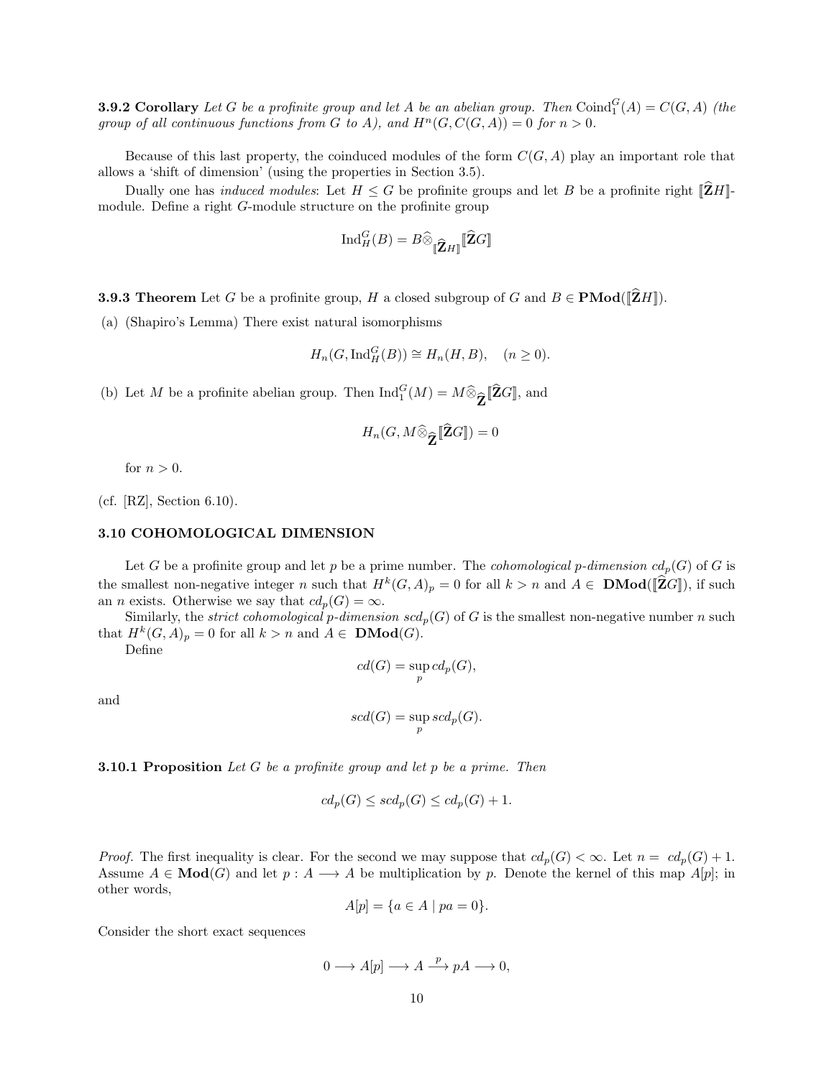**3.9.2 Corollary** Let G be a profinite group and let A be an abelian group. Then  $\text{Coind}_{1}^{G}(A) = C(G, A)$  (the group of all continuous functions from G to A), and  $H<sup>n</sup>(G, C(G, A)) = 0$  for  $n > 0$ .

Because of this last property, the coinduced modules of the form  $C(G, A)$  play an important role that allows a 'shift of dimension' (using the properties in Section 3.5).

Dually one has *induced modules*: Let  $H \leq G$  be profinite groups and let B be a profinite right  $[\hat{Z}H]$ module. Define a right G-module structure on the profinite group

$$
\mathrm{Ind}_{H}^{G}(B)=B\widehat{\otimes}_{\llbracket \widehat{\mathbf{Z}}H\rrbracket } \llbracket \widehat{\mathbf{Z}}G\rrbracket
$$

**3.9.3 Theorem** Let G be a profinite group, H a closed subgroup of G and  $B \in \text{PMod}(\hat{\mathbb{Z}}H)$ .

(a) (Shapiro's Lemma) There exist natural isomorphisms

$$
H_n(G, \operatorname{Ind}_H^G(B)) \cong H_n(H, B), \quad (n \ge 0).
$$

(b) Let M be a profinite abelian group. Then  $\text{Ind}_{1}^{G}(M) = M \widehat{\otimes}_{\widehat{\mathbf{Z}}} [\widehat{\mathbf{Z}}G]$ , and

$$
H_n(G, M \widehat{\otimes}_{\widehat{\mathbf{Z}}} [\widehat{\mathbf{Z}} G]) = 0
$$

for  $n > 0$ .

(cf. [RZ], Section 6.10).

### 3.10 COHOMOLOGICAL DIMENSION

Let G be a profinite group and let p be a prime number. The *cohomological p-dimension*  $cd_p(G)$  of G is the smallest non-negative integer n such that  $H^k(G, A)_p = 0$  for all  $k > n$  and  $A \in \mathbf{DMod}([\widehat{\mathbf{Z}}G])$ , if such an *n* exists. Otherwise we say that  $cd_p(G) = \infty$ .

Similarly, the *strict cohomological* p-dimension  $scd_p(G)$  of G is the smallest non-negative number n such that  $H^k(G, A)_p = 0$  for all  $k > n$  and  $A \in \mathbf{DMod}(G)$ .

Define

$$
cd(G) = \sup_{p} cd_{p}(G),
$$

and

$$
scd(G) = \sup_{p} scd_p(G).
$$

**3.10.1 Proposition** Let G be a profinite group and let p be a prime. Then

$$
cd_p(G) \leq scd_p(G) \leq cd_p(G) + 1.
$$

*Proof.* The first inequality is clear. For the second we may suppose that  $cd_p(G) < \infty$ . Let  $n = cd_p(G) + 1$ . Assume  $A \in \mathbf{Mod}(G)$  and let  $p : A \longrightarrow A$  be multiplication by p. Denote the kernel of this map  $A[p]$ ; in other words,

$$
A[p] = \{a \in A \mid pa = 0\}.
$$

Consider the short exact sequences

$$
0 \longrightarrow A[p] \longrightarrow A \stackrel{p}{\longrightarrow} pA \longrightarrow 0,
$$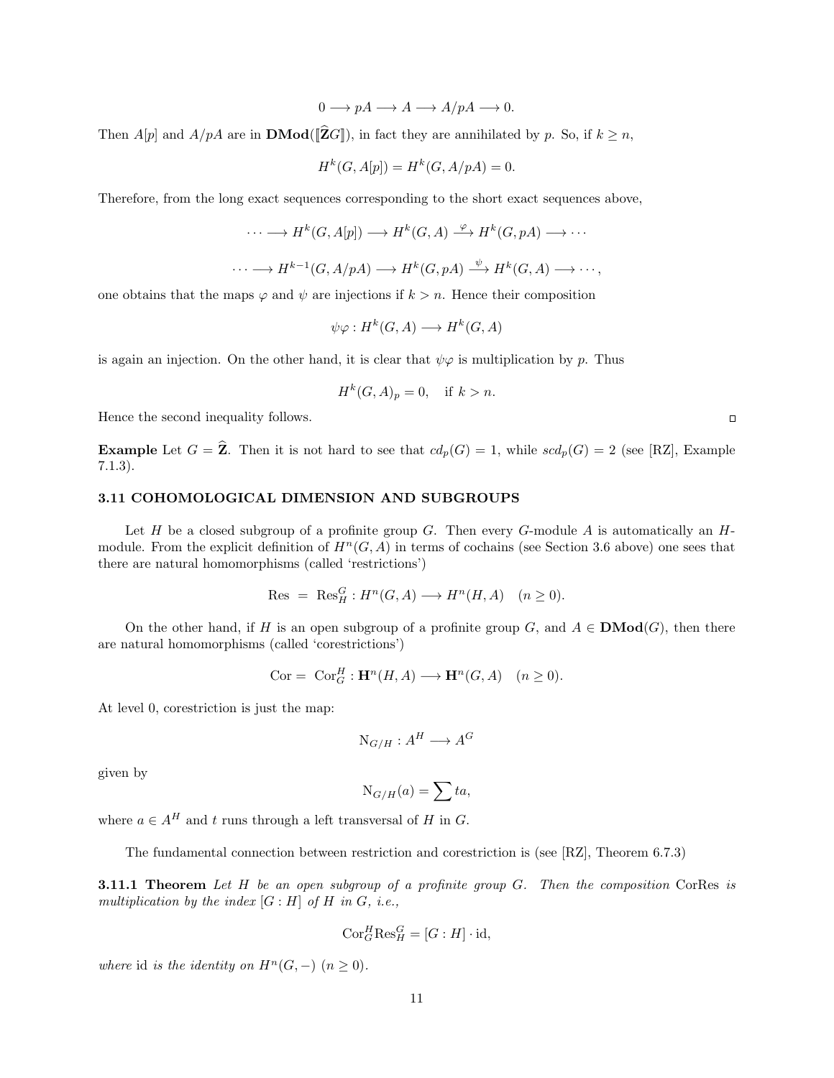$0 \longrightarrow pA \longrightarrow A \longrightarrow A/pA \longrightarrow 0.$ 

Then A[p] and  $A/pA$  are in **DMod**([ $\hat{Z}G$ ]), in fact they are annihilated by p. So, if  $k \ge n$ ,

$$
H^k(G, A[p]) = H^k(G, A/pA) = 0.
$$

Therefore, from the long exact sequences corresponding to the short exact sequences above,

$$
\cdots \longrightarrow H^k(G, A[p]) \longrightarrow H^k(G, A) \stackrel{\varphi}{\longrightarrow} H^k(G, pA) \longrightarrow \cdots
$$

$$
\cdots \longrightarrow H^{k-1}(G, A/pA) \longrightarrow H^{k}(G, pA) \stackrel{\psi}{\longrightarrow} H^{k}(G, A) \longrightarrow \cdots,
$$

one obtains that the maps  $\varphi$  and  $\psi$  are injections if  $k > n$ . Hence their composition

$$
\psi \varphi: H^k(G, A) \longrightarrow H^k(G, A)
$$

is again an injection. On the other hand, it is clear that  $\psi \varphi$  is multiplication by p. Thus

$$
H^k(G, A)_p = 0, \quad \text{if } k > n.
$$

Hence the second inequality follows.

**Example** Let  $G = \hat{\mathbf{Z}}$ . Then it is not hard to see that  $cd_p(G) = 1$ , while  $scd_p(G) = 2$  (see [RZ], Example 7.1.3).

### 3.11 COHOMOLOGICAL DIMENSION AND SUBGROUPS

Let H be a closed subgroup of a profinite group G. Then every G-module A is automatically an  $H$ module. From the explicit definition of  $H^n(G, A)$  in terms of cochains (see Section 3.6 above) one sees that there are natural homomorphisms (called 'restrictions')

$$
Res = Res_H^G : H^n(G, A) \longrightarrow H^n(H, A) \quad (n \ge 0).
$$

On the other hand, if H is an open subgroup of a profinite group G, and  $A \in \mathbf{DMod}(G)$ , then there are natural homomorphisms (called 'corestrictions')

Cor = 
$$
\text{Cor}_{G}^{H}: \mathbf{H}^{n}(H, A) \longrightarrow \mathbf{H}^{n}(G, A)
$$
  $(n \ge 0).$ 

At level 0, corestriction is just the map:

$$
N_{G/H}: A^H \longrightarrow A^G
$$

given by

$$
N_{G/H}(a) = \sum t a,
$$

where  $a \in A^H$  and t runs through a left transversal of H in G.

The fundamental connection between restriction and corestriction is (see [RZ], Theorem 6.7.3)

**3.11.1 Theorem** Let  $H$  be an open subgroup of a profinite group  $G$ . Then the composition CorRes is multiplication by the index  $[G:H]$  of  $H$  in  $G$ , i.e.,

$$
Cor_G^H Res_H^G = [G : H] \cdot id,
$$

where id is the identity on  $H^n(G, -)$   $(n \geq 0)$ .

 $\Box$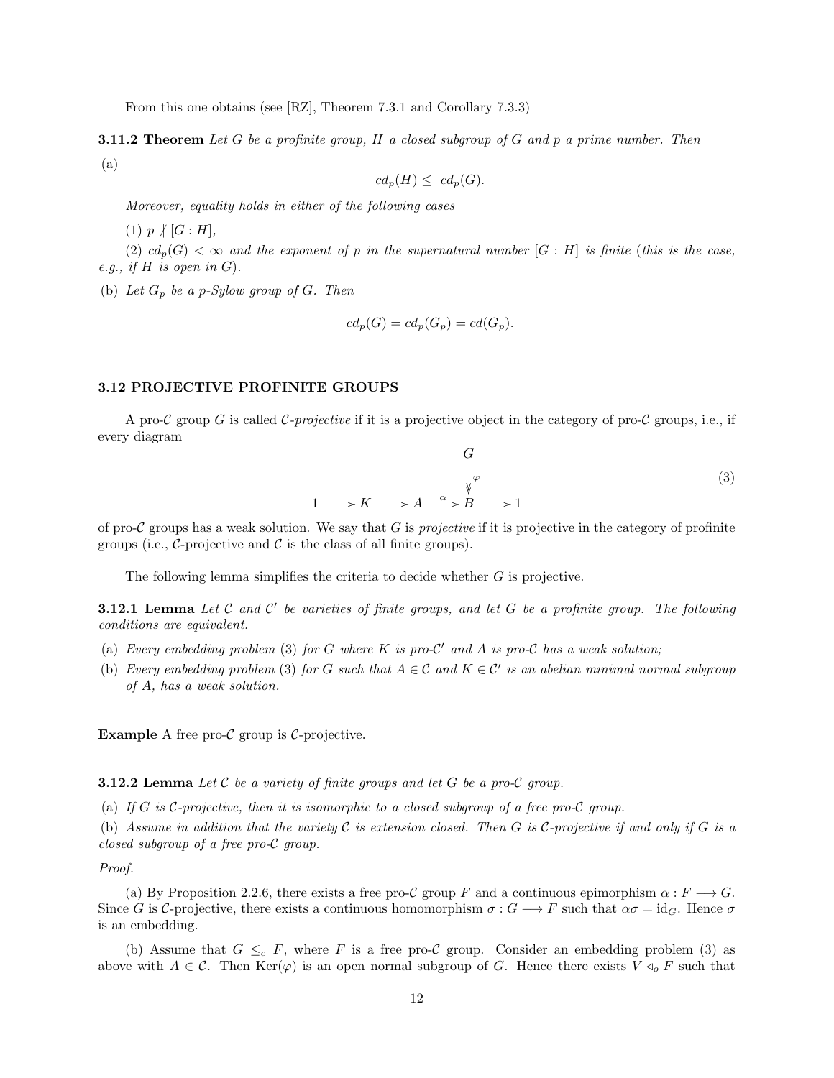From this one obtains (see [RZ], Theorem 7.3.1 and Corollary 7.3.3)

**3.11.2 Theorem** Let G be a profinite group, H a closed subgroup of G and p a prime number. Then (a)

$$
cd_p(H) \leq cd_p(G).
$$

Moreover, equality holds in either of the following cases

 $(1)$   $p \nmid [G : H],$ 

(2)  $cd_p(G) < \infty$  and the exponent of p in the supernatural number  $[G : H]$  is finite (this is the case, e.g., if  $H$  is open in  $G$ ).

(b) Let  $G_p$  be a p-Sylow group of G. Then

$$
cd_p(G) = cd_p(G_p) = cd(G_p).
$$

#### 3.12 PROJECTIVE PROFINITE GROUPS

A pro-C group G is called C-projective if it is a projective object in the category of pro-C groups, i.e., if every diagram

$$
\begin{array}{ccc}\n & G & & \\
 & \downarrow \varphi & \\
1 \longrightarrow K \longrightarrow A \longrightarrow A \longrightarrow B \longrightarrow 1\n\end{array} \tag{3}
$$

of pro-C groups has a weak solution. We say that G is *projective* if it is projective in the category of profinite groups (i.e.,  $\mathcal{C}\text{-projective}$  and  $\mathcal{C}$  is the class of all finite groups).

The following lemma simplifies the criteria to decide whether G is projective.

**3.12.1 Lemma** Let  $C$  and  $C'$  be varieties of finite groups, and let  $G$  be a profinite group. The following conditions are equivalent.

- (a) Every embedding problem (3) for G where K is pro- $\mathcal{C}'$  and A is pro-C has a weak solution;
- (b) Every embedding problem (3) for G such that  $A \in \mathcal{C}$  and  $K \in \mathcal{C}'$  is an abelian minimal normal subgroup of A, has a weak solution.

**Example** A free pro- $\mathcal C$  group is  $\mathcal C$ -projective.

**3.12.2 Lemma** Let C be a variety of finite groups and let G be a pro-C group.

(a) If G is C-projective, then it is isomorphic to a closed subgroup of a free pro-C group.

(b) Assume in addition that the variety  $\mathcal C$  is extension closed. Then  $G$  is  $\mathcal C$ -projective if and only if  $G$  is a closed subgroup of a free pro-C group.

Proof.

(a) By Proposition 2.2.6, there exists a free pro-C group F and a continuous epimorphism  $\alpha : F \longrightarrow G$ . Since G is C-projective, there exists a continuous homomorphism  $\sigma: G \longrightarrow F$  such that  $\alpha \sigma = \mathrm{id}_G$ . Hence  $\sigma$ is an embedding.

(b) Assume that  $G \leq_c F$ , where F is a free pro-C group. Consider an embedding problem (3) as above with  $A \in \mathcal{C}$ . Then  $\text{Ker}(\varphi)$  is an open normal subgroup of G. Hence there exists  $V \triangleleft_{o} F$  such that